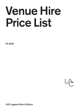# Venue Hire Price List

04.2022



LAC Lugano Arte e Cultura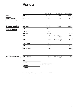## Venue

|                  |                   | First day's use | Additional day                 | Move in/Move out |
|------------------|-------------------|-----------------|--------------------------------|------------------|
| <b>Show</b>      | Sala Teatro       | 13'900.-        | $11'100 -$                     | $9'300 -$        |
| and concerts     | Teatrostudio      | $790 -$         | $630 -$                        | $270 -$          |
| Events, meeting, | Sala Teatro       | $10'000 -$      | $10'000 -$                     | $5'000 -$        |
| presentations    | Sala 1            | $2'000 -$       |                                | $900 -$          |
|                  | Foyer Sala 1      | $150 -$         |                                |                  |
|                  | Sala $1+2$        | $2'500 -$       |                                | $1'000 -$        |
|                  | Sala <sub>2</sub> | $600 -$         | Backoffice/catering<br>$200 -$ | $300 -$          |
|                  | Sala 3            | $800 -$         | Backoffice/catering<br>$200 -$ | $400 -$          |
|                  | Foyer Sala 3      | $180 -$         |                                |                  |
|                  | Sala 4            | $1'000 -$       |                                | $500 -$          |
|                  | Sala Refettorio   | $450 -$         |                                | $200 -$          |

| <b>Additional spaces</b> | Sala Capitolare   | $290 -$            | Backoffice/catering<br>$100 -$ | $145 -$ |
|--------------------------|-------------------|--------------------|--------------------------------|---------|
|                          | Hall              |                    |                                |         |
|                          | Agorà terrace     |                    |                                |         |
|                          | <b>LAC</b> square | Quote upon request |                                |         |
|                          | LAC parc          |                    |                                |         |
|                          |                   |                    |                                |         |

For events with particular requirements, LAC draws up a specific offer.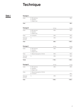# **Technique**

## Sala 1

## Package A

| Audio                  | 4x Microphones<br>4x Speakers                         |           | $300 -$   |
|------------------------|-------------------------------------------------------|-----------|-----------|
| Total                  | 1× Digital mixer                                      |           | $300 -$   |
| Package B              |                                                       | Half day  | Full day  |
| Audio                  | 4x Microphones<br>4× Speakers<br>1× Digital mixer     | $300 -$   | $300 -$   |
| Video                  | $2 \times TV HD 75"$                                  | $300 -$   | $300 -$   |
| Technical<br>assistant | $1\times$                                             | $250 -$   | $400 -$   |
| Total                  |                                                       | $850 -$   | $1'000 -$ |
| Package C              |                                                       | Half day  | Full day  |
| Audio                  | 4x Microphones<br>4× Speakers<br>1× Digital mixer     | $300 -$   | $300 -$   |
| Video                  | 1× Beamer & projection 3.5×2m                         | $600 -$   | $600 -$   |
| Technical<br>assistant | $1\times$                                             | $250 -$   | $400 -$   |
| Totale                 |                                                       | $1'150 -$ | $1'300 -$ |
| Package D              |                                                       | Half day  | Full day  |
| Audio                  | 4x Microphones<br>4× Speakers<br>1× Digital mixer     | $300 -$   | $300 -$   |
| Video                  | 1× Beamer & projection 3.5×2m<br>$2 \times TV HD 75"$ |           | $900 -$   |
| Technical<br>assistant | $1\times$                                             | $250 -$   | $400 -$   |
| Total                  |                                                       | $1'450 -$ | $1'600 -$ |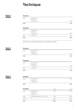# **Technique**

## Sala 2

#### Package A

| Audio | 2× Microphones<br>2× Speakers<br>1 × Analog mixer | $200 -$ |
|-------|---------------------------------------------------|---------|
| Total |                                                   | $200 -$ |

## Package B

| Total |                               | $350 -$ |
|-------|-------------------------------|---------|
| Video | $1 \times TV HD 75"$          | $150 -$ |
|       | 1 × Analog mixer              | $200 -$ |
| Audio | 2× Microphones<br>2× Speakers |         |

50% discount on Sala 2 Package B when used together with Sala 1

## Sala 3

#### Package A

| Audio     | 2× Microphones   |         |
|-----------|------------------|---------|
|           | 2× Speakers      |         |
|           | 1 × Analog mixer | $200 -$ |
| Total     |                  | $200 -$ |
| Package B |                  |         |
| Audio     | 2× Microphones   |         |
|           | 2× Speakers      |         |

Video 1× TV HD 75" 150.– 160. Protein and the set of the set of the set of the set of the set of the set of the set of the set of the set of the set of the set of the set of the set of the set of the set of the set of the

1× Analog mixer 200.–

Total 350.–

## Sala 4

| Package A |                                                   |          |          |
|-----------|---------------------------------------------------|----------|----------|
| Audio     | 4x Microphones<br>2× Speakers<br>1× Digital mixer |          | $250 -$  |
| Total     |                                                   |          | $250 -$  |
| Package B |                                                   | Half day | Full day |
| Audio     | 4x Microphones<br>4× Speakers<br>1× Digital mixer | $250 -$  | $250 -$  |
| Video     | 1× Beamer & projection screen 5.5×3m              | $500 -$  | $500 -$  |

Tecnico 1× 250.– 400.– Total 1'000.– 1'150.–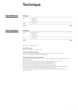# **Technique**

## Sala Refettorio

#### Package A

| $1 \times TV H D 70"$         |
|-------------------------------|
|                               |
| 1× Analog mixer               |
| 2× Microphones<br>2× Speakers |
|                               |

## Sala Capitolare

#### Package A

| Total |                      | $200 -$ |
|-------|----------------------|---------|
| Video | $1 \times TV HD 46"$ |         |
|       | 1× Analog mixer      |         |
|       | 2× Speakers          |         |
| Audio | 2× Microphones       |         |

*All prices are 7,7% VAT excluded.*

#### General Provisions

The room is handed 2 hours before the event. •

#### Video and electricity connections

- LAC rooms are equipped with HDMI video connections, any other connection is not supported. •
- LAC rooms are equipped with Type 13(CH) electric plugs. •

#### External audio and video service companies

- Technical installation that exceed the technical rider of the rooms shall be rented, transported and operated by external partners. •
- Equipment supplied by an external service shall be managed by the external service's staff. •
- The external services, if needed, can also use the monitors present in the room. •
- When the client use the monitors, they will be charge to the client by LAC.
- Technical requests must be defined at least 15 working days before the event. •
- The technical management establishes together with the client, if a technician is needed during the event. •
- The following services are excluded from the LAC technicians competencies: •Transportation of the client equipment, Editing/modifying media files presentations, Catering services, Welcoming services.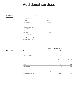# Additional services

## **Supplies**

| 1× Headset microphone (max. 2)                  | $50 -$   |
|-------------------------------------------------|----------|
| 1× Microphoned lectern                          | $100 -$  |
| 1× Lectern                                      | included |
| 2× Portable laptop                              | included |
| $1 \times$ Standing table (max. 12)             | $20 -$   |
| REC Recording (CD o MP3),<br>editing included   | 250.–    |
| REC registrazione (CD o MP3)<br>without editing | $100 -$  |
| Steinway B211 (*+VAT/ per day)                  | *600.–   |
| Steinway D274 (*+VAT/ per day)                  | *800.–   |
| Notepad + pens $(*$ pcs)                        | *5.–     |

## **Services**

|                     | Daily fee | Holiday and night fee |
|---------------------|-----------|-----------------------|
| Wardrobe service    | $41 -$    | $41 -$                |
| Hostess service     | $41 -$    | $41 -$                |
| Welcom desk service | $49 -$    | $51 -$                |
|                     | Daily fee | Night fee             |

|                             | Daily fee | Night fee | Holiday fee |
|-----------------------------|-----------|-----------|-------------|
| Surveillance service        | $54 -$    | 67.50     | $81 -$      |
| Cleaning                    | $40 -$    | $51 -$    | $80 -$      |
| Custody service             | $75 -$    | 93.75     | 112.50      |
|                             | Hourly    | Half day  | Full day    |
| Technical assistant service | $90 -$    | $250 -$   | $400 -$     |